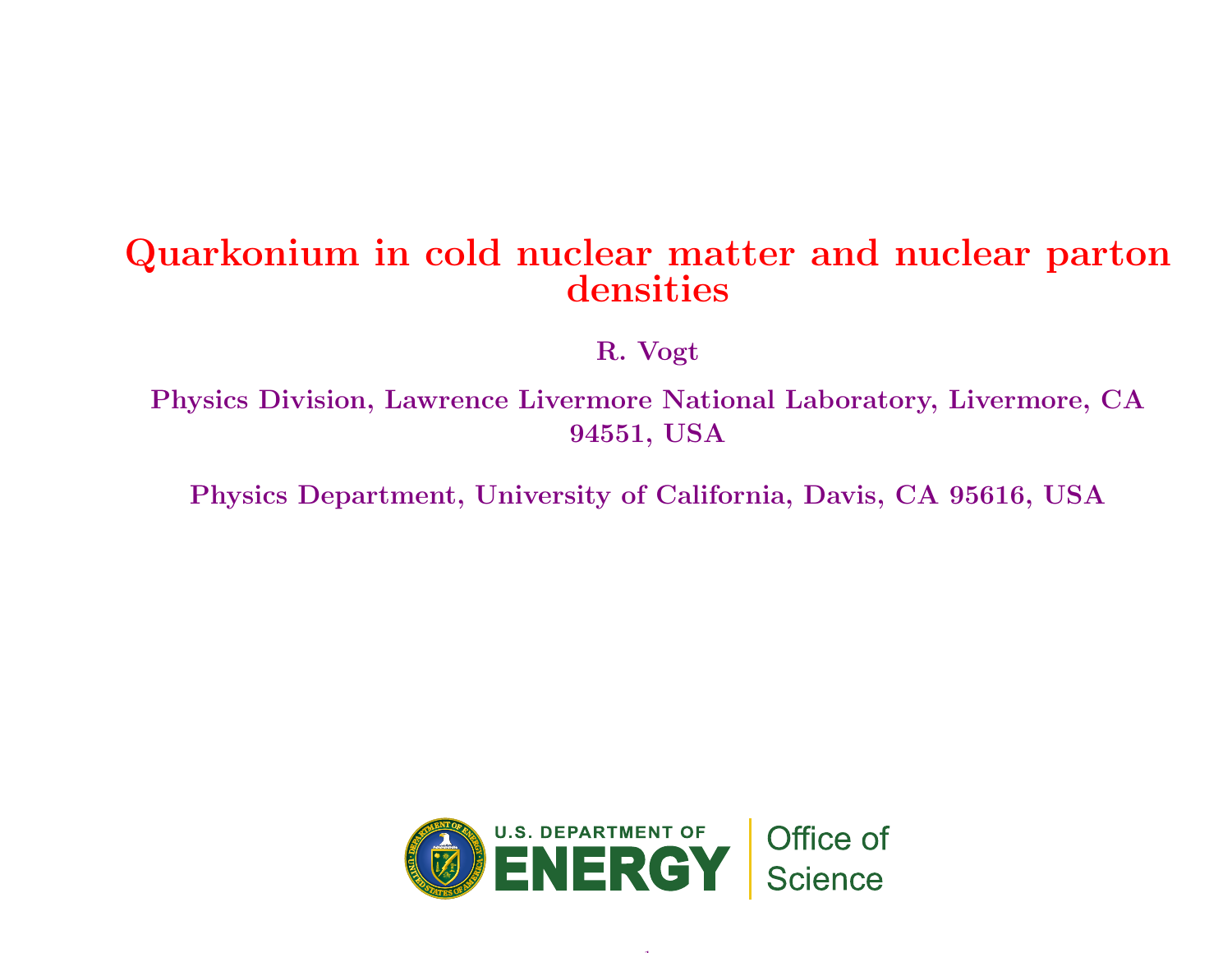#### Quarkonium in cold nuclear matter and nuclear partondensities

R. Vogt

Physics Division, Lawrence Livermore National Laboratory, Livermore, CA94551, USA

Physics Department, University of California, Davis, CA 95616, USA



1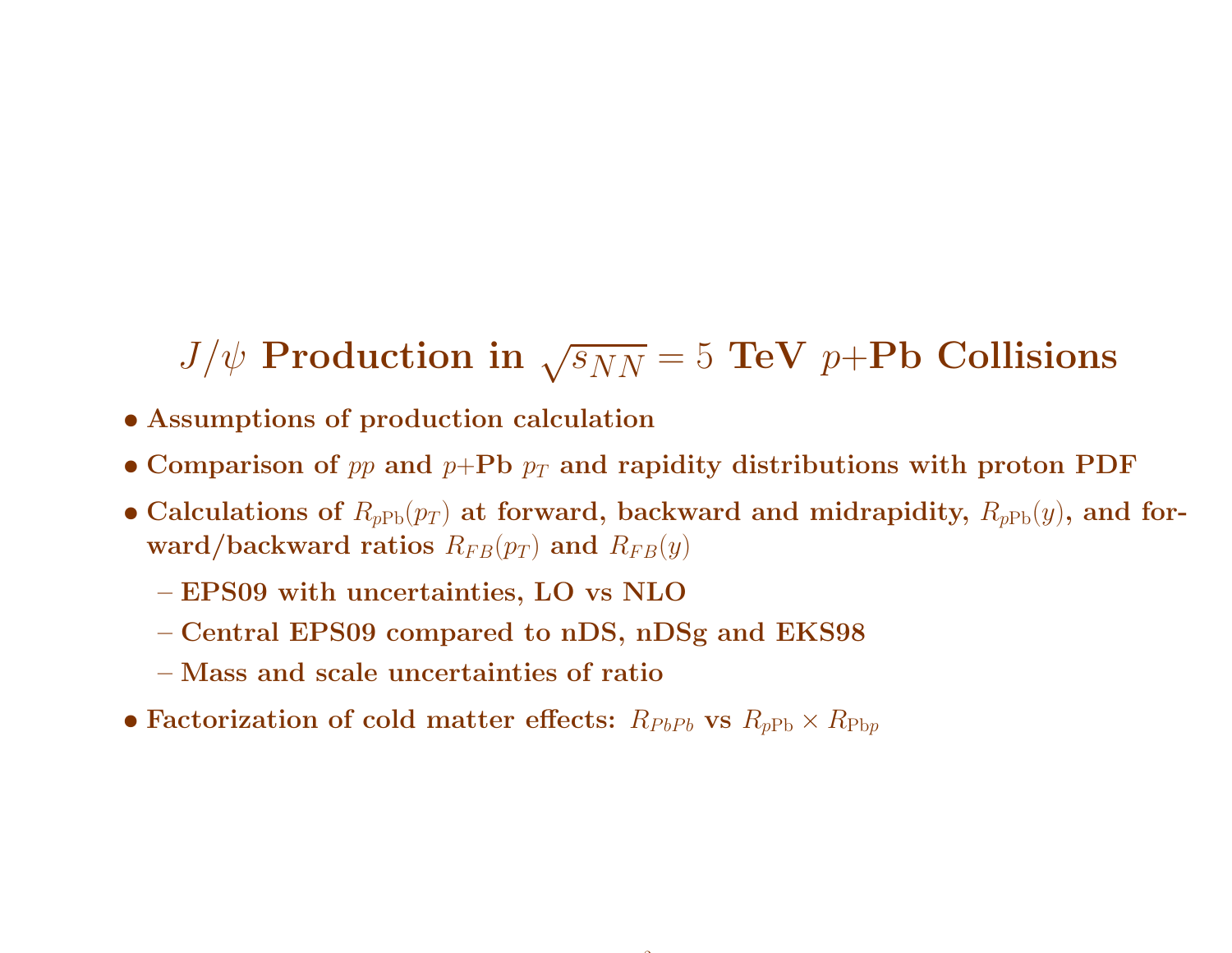# $J/\psi$  Production in  $\sqrt{s_{NN}}$  = 5 TeV  $p{+}{\rm Pb}$  Collisions

- Assumptions of production calculation
- Comparison of  $pp$  and  $p+{\bf Pb}$   $p_T$  and rapidity distributions with proton  ${\bf PDF}$
- $\bullet$  Calculations of  $R_{pPb}(p_T)$  at forward, backward and midrapidity,  $R_{pPb}(y)$ , and for- $\textbf{ward}/\textbf{backward}$  ratios  $R_{FB}(p_T)$  and  $R_{FB}(y)$

 $\tilde{\phantom{a}}$ 

- EPS09 with uncertainties, LO vs NLO
- Central EPS09 compared to nDS, nDSg and EKS98
- Mass and scale uncertainties of ratio
- $\bullet$  Factorization of cold matter effects:  $R_{PbPb}$  vs  $R_{p{\rm Pb}} \times R_{\rm Pbp}$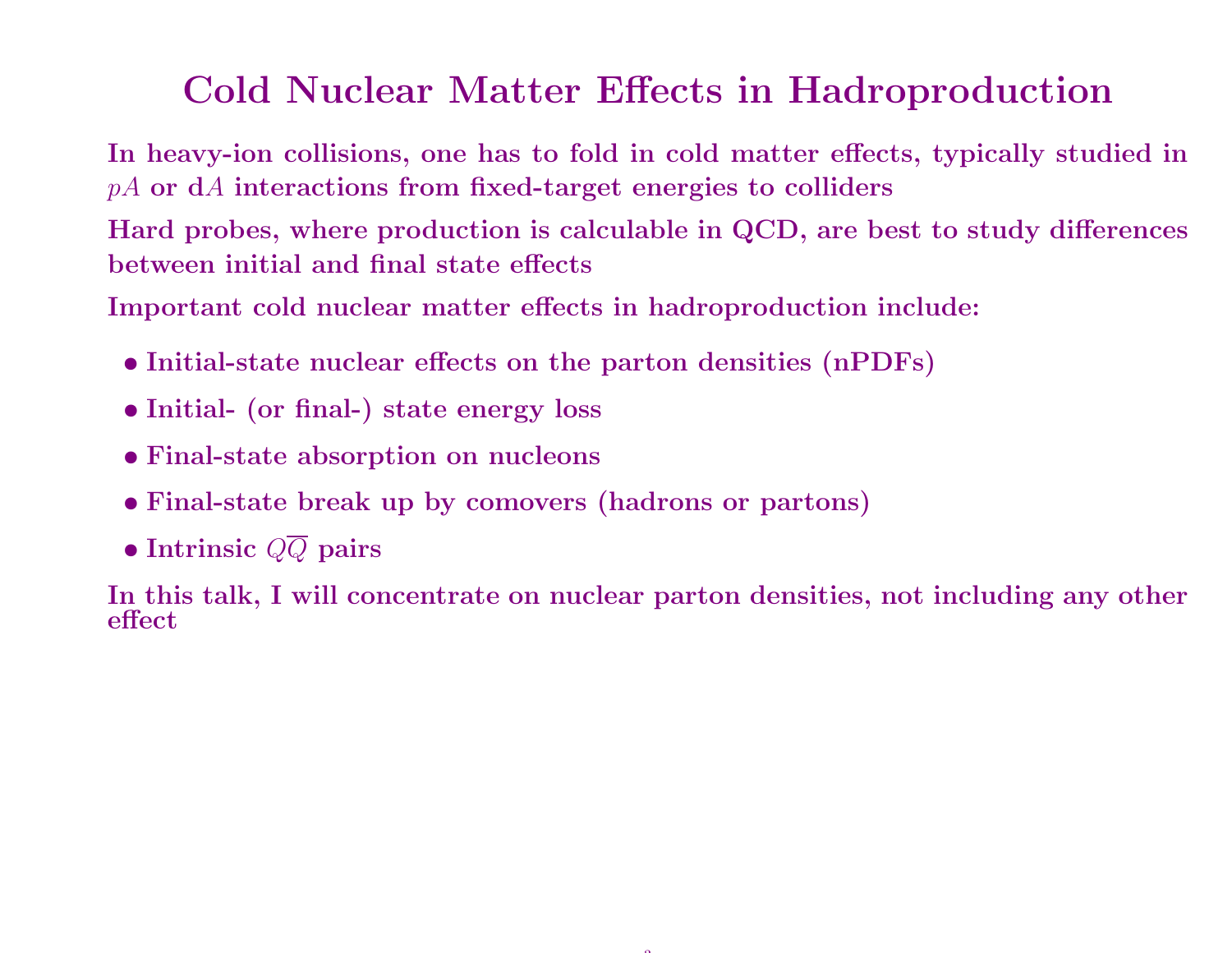### Cold Nuclear Matter Effects in Hadroproduction

In heavy-ion collisions, one has to fold in cold matter effects, typically studied in $pA$  or  $\mathrm{d}A$  interactions from fixed-target energies to colliders

Hard probes, where production is calculable in QCD, are best to study differences between initial and final state effects

Important cold nuclear matter effects in hadroproduction include:

- Initial-state nuclear effects on the parton densities (nPDFs)
- Initial- (or final-) state energy loss
- Final-state absorption on nucleons
- Final-state break up by comovers (hadrons or partons)
- $\bullet$  Intrinsic  $QQ$  pairs

In this talk, <sup>I</sup> will concentrate on nuclear parton densities, not including any other effect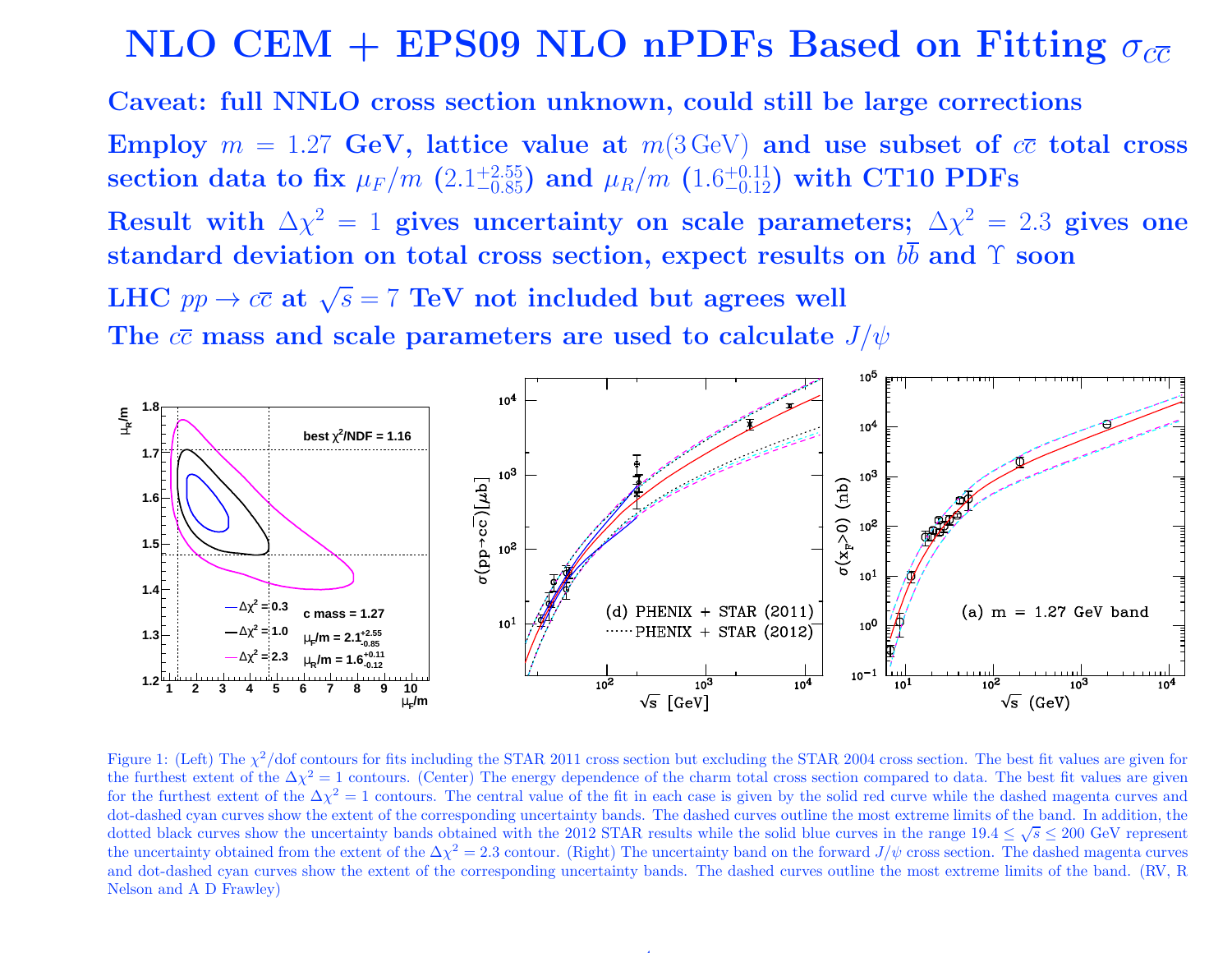### $\rm NLO \,\, CEM + EPS09 \,\, NLO \,\, nPDFs \,\, Based \,\, on \,\, Fitting \,\, \sigma_{c\overline{c}}$

Caveat: full NNLO cross section unknown, could still be large corrections

Employ  $m = 1.27$  GeV, lattice value at  $m(3 \text{ GeV})$  and use subset of  $c\bar{c}$  total cross section data to fix  $\mu_F / m$   $(2.1^{+2.55}_{-0.85})$  and  $\mu_R / m$   $(1.6^{+0.11}_{-0.12})$  with CT10 PDFs

Result with  $\Delta\chi^2=1$  gives uncertainty on scale parameters;  $\Delta\chi^2=2.3$  gives one standard deviation on total cross section, expect results on  $bb$  and  $\Upsilon$  soon

 $\text{LHC} \, \, pp \to c\overline{c} \, \, \text{at} \, \, \sqrt{s} = 7 \, \, \text{TeV} \, \, \text{not} \, \, \text{include} \, \, \text{but \, agrees well}$ The  $c\overline{c}$  mass and scale parameters are used to calculate  $J/\psi$ 



Figure 1: (Left) The  $\chi^2$ /dof contours for fits including the STAR 2011 cross section but excluding the STAR 2004 cross section. The best fit values are given for the furthest extent of the  $\Delta \chi^2 = 1$  contours. (Center) The energy dependence of the charm total cross section compared to data. The best fit values are given for the furthest extent of the  $\Delta \chi^2 = 1$  contours. The central value of the fit in each case is given by the solid red curve while the dashed magenta curves and dot-dashed cyan curves show the extent of the corresponding uncertainty bands. The dashed curves outline the most extreme limits of the band. In addition, the dotted black curves show the uncertainty bands obtained with the 2012 STAR results while the solid blue curves in the range  $19.4 \leq \sqrt{s} \leq 200$  GeV represent the uncertainty obtained from the extent of the  $\Delta \chi^2 = 2.3$  contour. (Right) The uncertainty band on the forward  $J/\psi$  cross section. The dashed magenta curves and dot-dashed cyan curves show the extent of the corresponding uncertainty bands. The dashed curves outline the most extreme limits of the band. (RV, <sup>R</sup>Nelson and <sup>A</sup> <sup>D</sup> Frawley)

4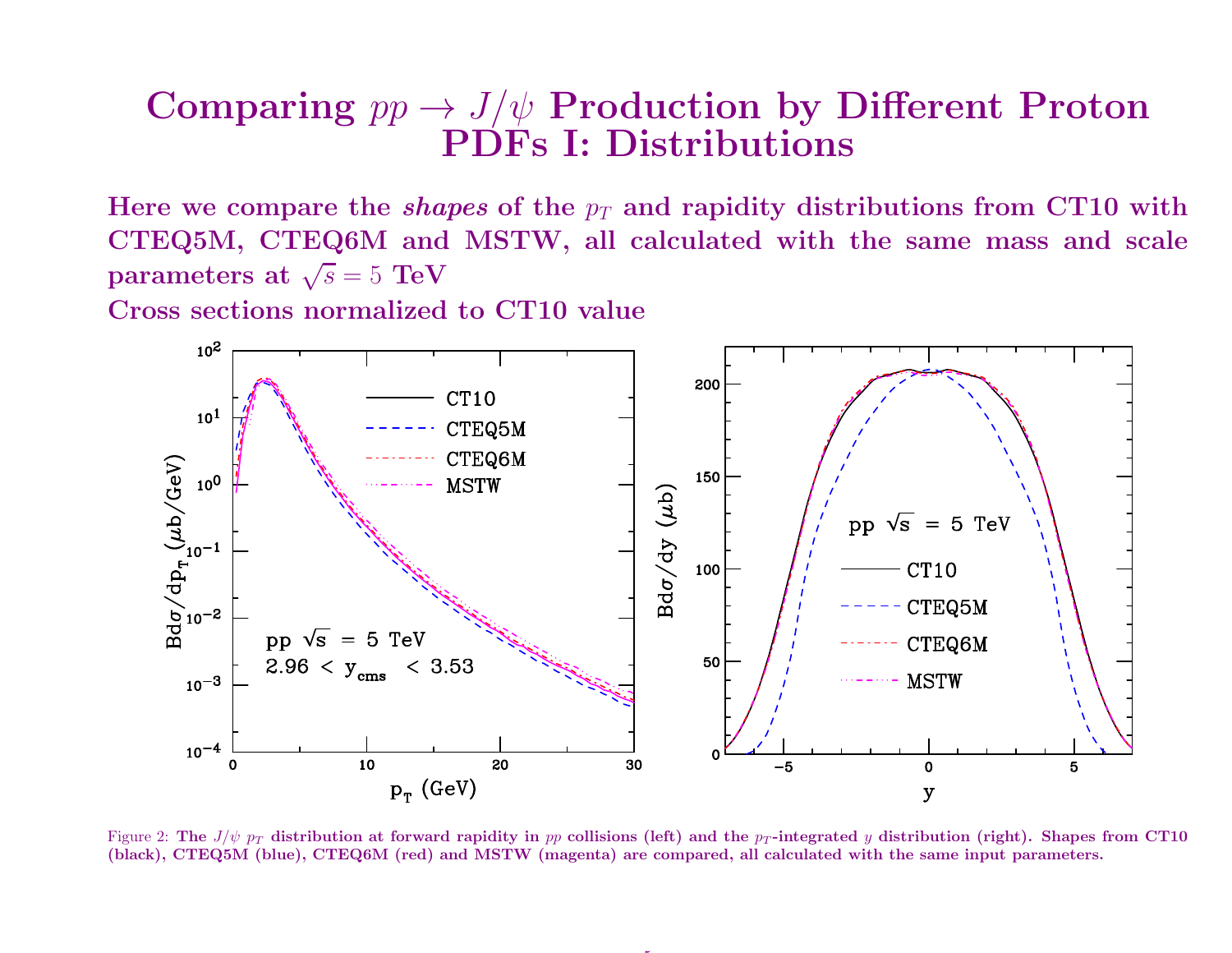#### $\textbf{Comparing } pp \rightarrow J/\psi \textbf{ Production by Different Proton } \textbf{PDFs I: Distributions}$ PDFs I: Distributions

Here we compare the  $\it shapes$  of the  $p_T$  and rapidity distributions from CT10 with  $CTEQ5M, CTEQ6M$  and  $MSTW,$  all calculated with the same mass and scale parameters at  $\sqrt{s} = 5$  TeV

Cross sections normalized to CT10 value



Figure 2: The  $J/\psi$   $p_T$  distribution at forward rapidity in pp collisions (left) and the  $p_T$ -integrated y distribution (right). Shapes from CT10 (black), CTEQ5M (blue), CTEQ6M (red) and MSTW (magenta) are compared, all calculated with the same input parameters.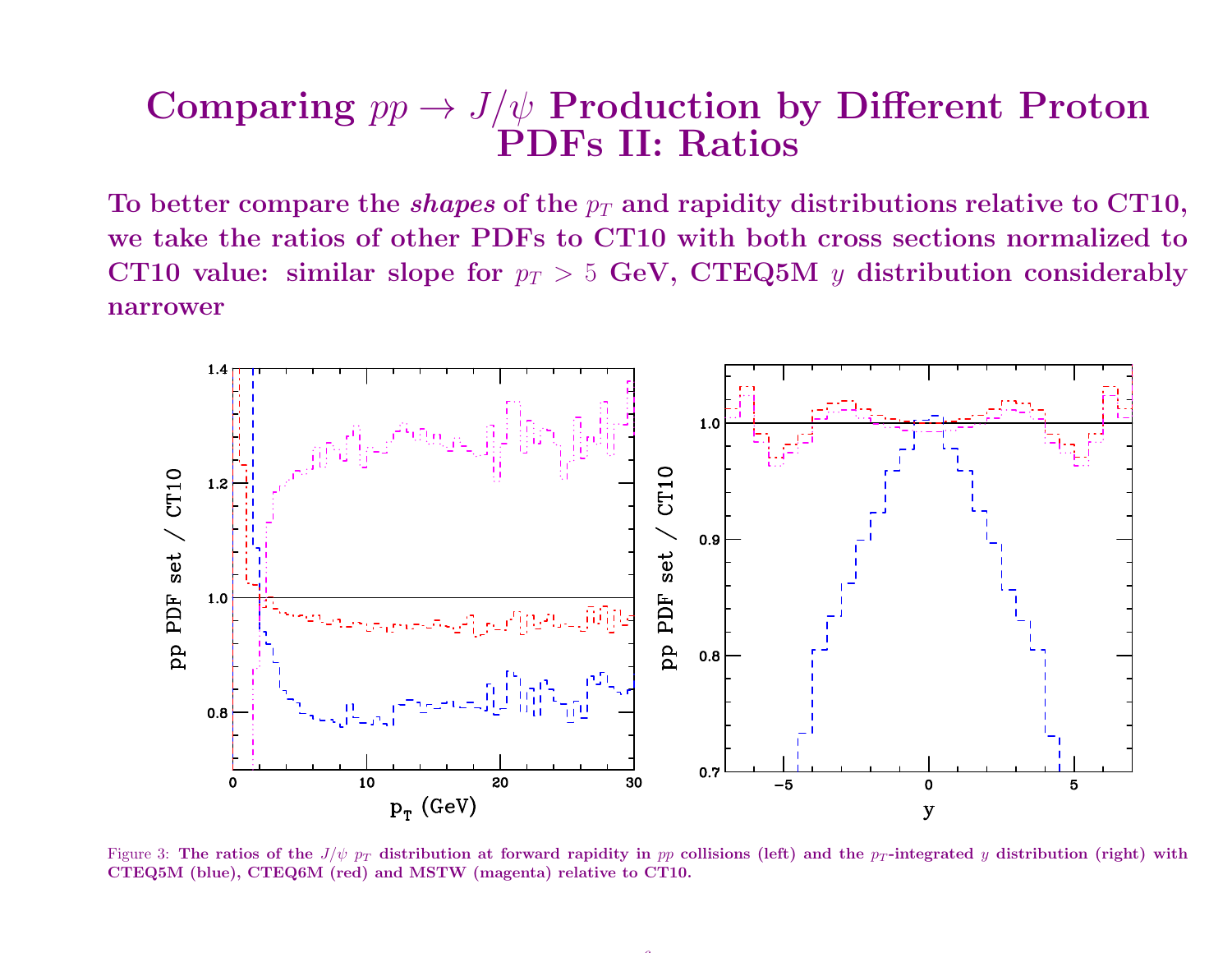#### $\textbf{Comparing } pp \rightarrow J/\psi \textbf{ Production by Different Proton } \ \textbf{PDFs II: Ratios }$ PDFs II: Ratios

To better compare the *shapes* of the  $p_T$  and rapidity distributions relative to CT10, we take the ratios of other PDFs to CT10 with both cross sections normalized toCT10 value: similar slope for  $p_T > 5$  GeV, CTEQ5M  $y$  distribution considerably<br>narrower narrower



Figure 3: The ratios of the  $J/\psi$   $p_T$  distribution at forward rapidity in pp collisions (left) and the p<sub>T</sub>-integrated y distribution (right) with CTEQ5M (blue), CTEQ6M (red) and MSTW (magenta) relative to CT10.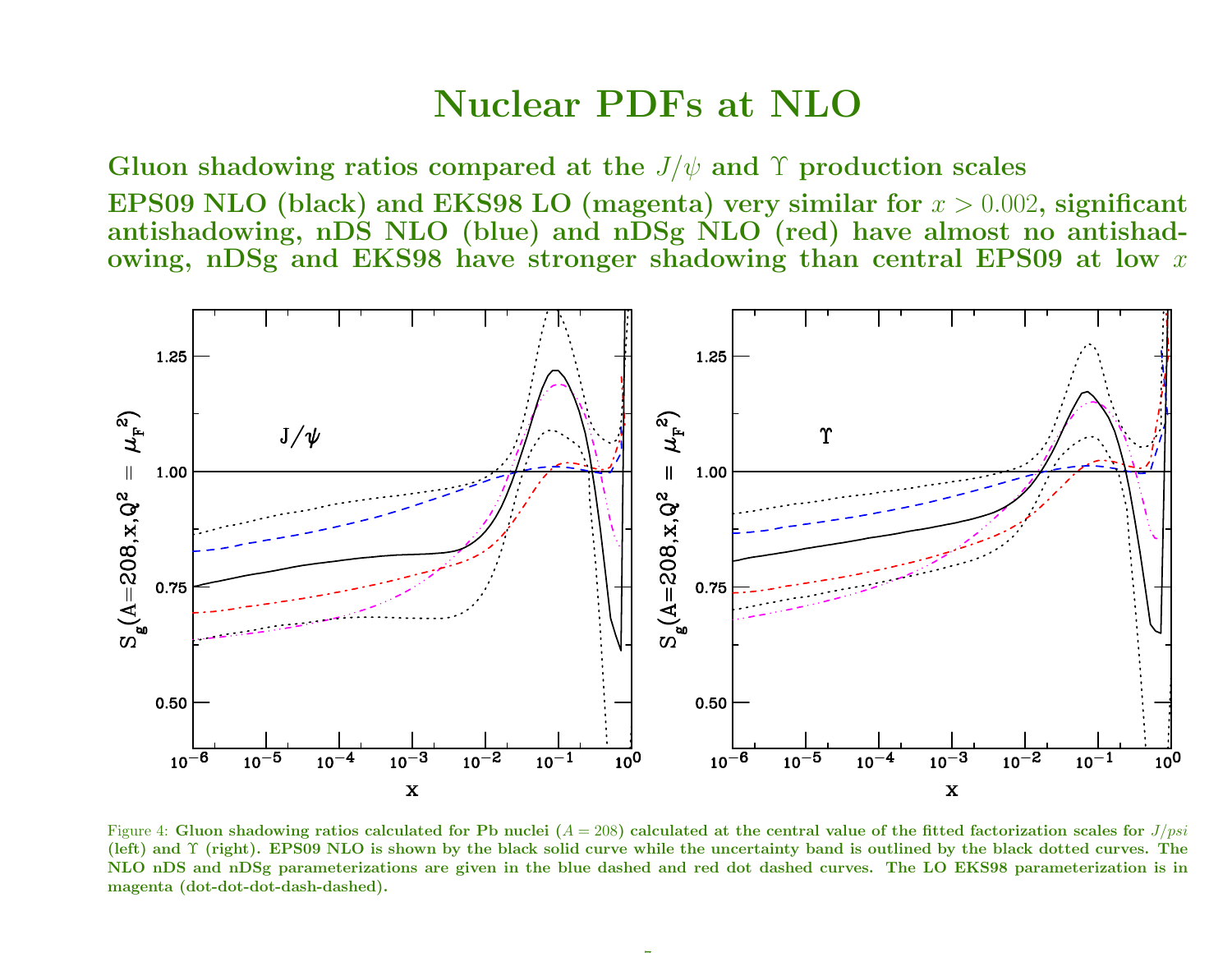#### Nuclear PDFs at NLO

 $G$ luon shadowing ratios compared at the  $J/\psi$  and  $\Upsilon$  production scales EPS09 NLO (black) and EKS98 LO (magenta) very similar for  $x > 0.002$ , significant antishadowing, nDS NLO (blue) and nDSg NLO (red) have almost no antishadowing, n $\overline{\mathrm{DS}}$ g and  $\overline{\mathrm{EKS98}}$  have stronger shadowing than central  $\overline{\mathrm{EPS09}}$  at low  $x$ 



Figure 4: Gluon shadowing ratios calculated for Pb nuclei  $(A = 208)$  calculated at the central value of the fitted factorization scales for  $J/psi$ . (left) and Υ (right). EPS09 NLO is shown by the black solid curve while the uncertainty band is outlined by the black dotted curves. The<br>NHC DS and DS and DS and the theory of the black solid curve while the band is the b NLO nDS and nDSg parameterizations are <sup>g</sup>iven in the blue dashed and red dot dashed curves. The LO EKS98 parameterization is inmagenta (dot-dot-dot-dash-dashed).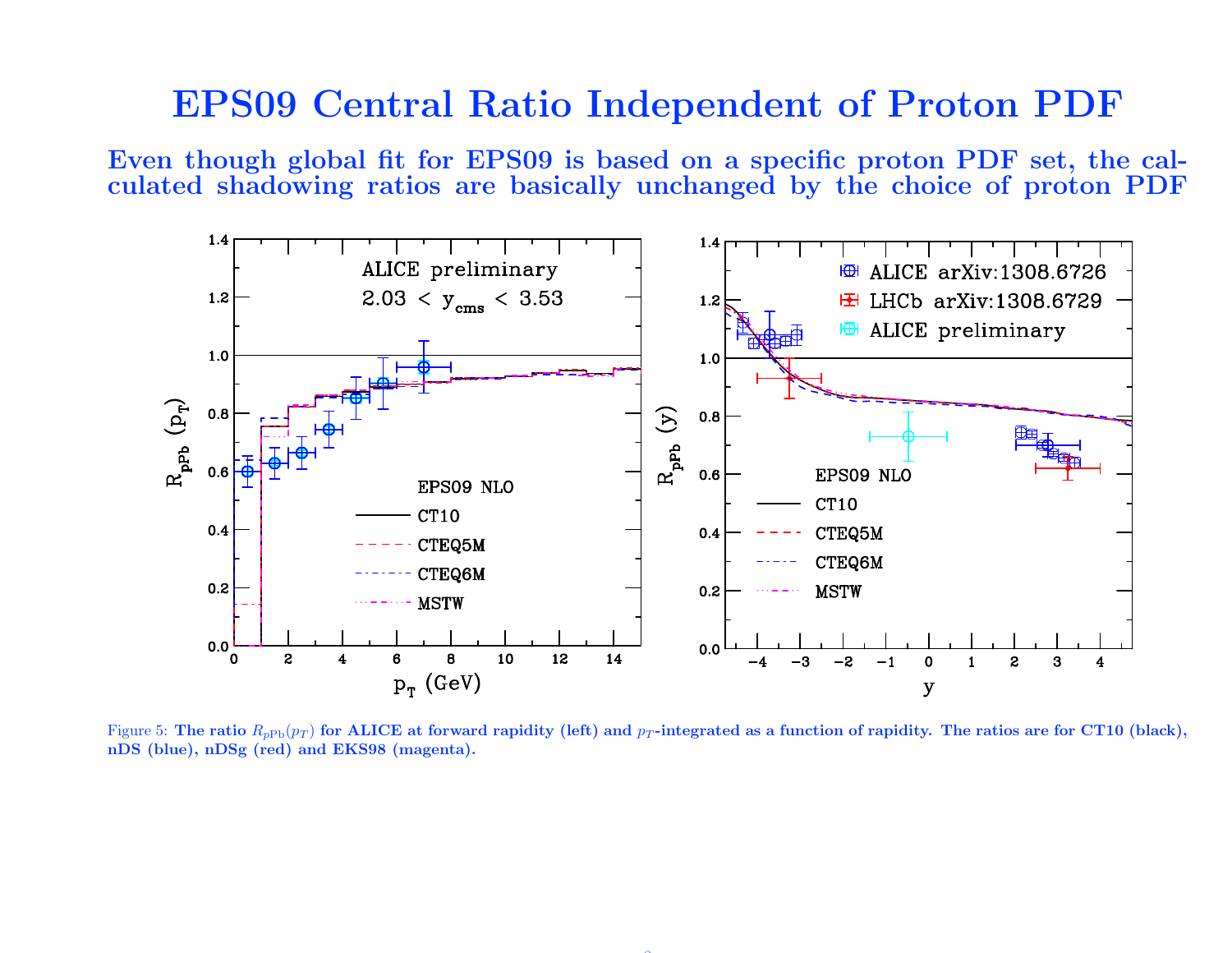#### EPS09 Central Ratio Independent of Proton PDF

Even though <sup>g</sup>lobal fit for EPS09 is based on <sup>a</sup> specific proton PDF set, the calculated shadowing ratios are basically unchanged by the choice of proton PDF



Figure 5: The ratio  $R_{pPb}(p_T)$  for ALICE at forward rapidity (left) and  $p_T$ -integrated as a function of rapidity. The ratios are for CT10 (black), nDS (blue), nDSg (red) and EKS98 (magenta).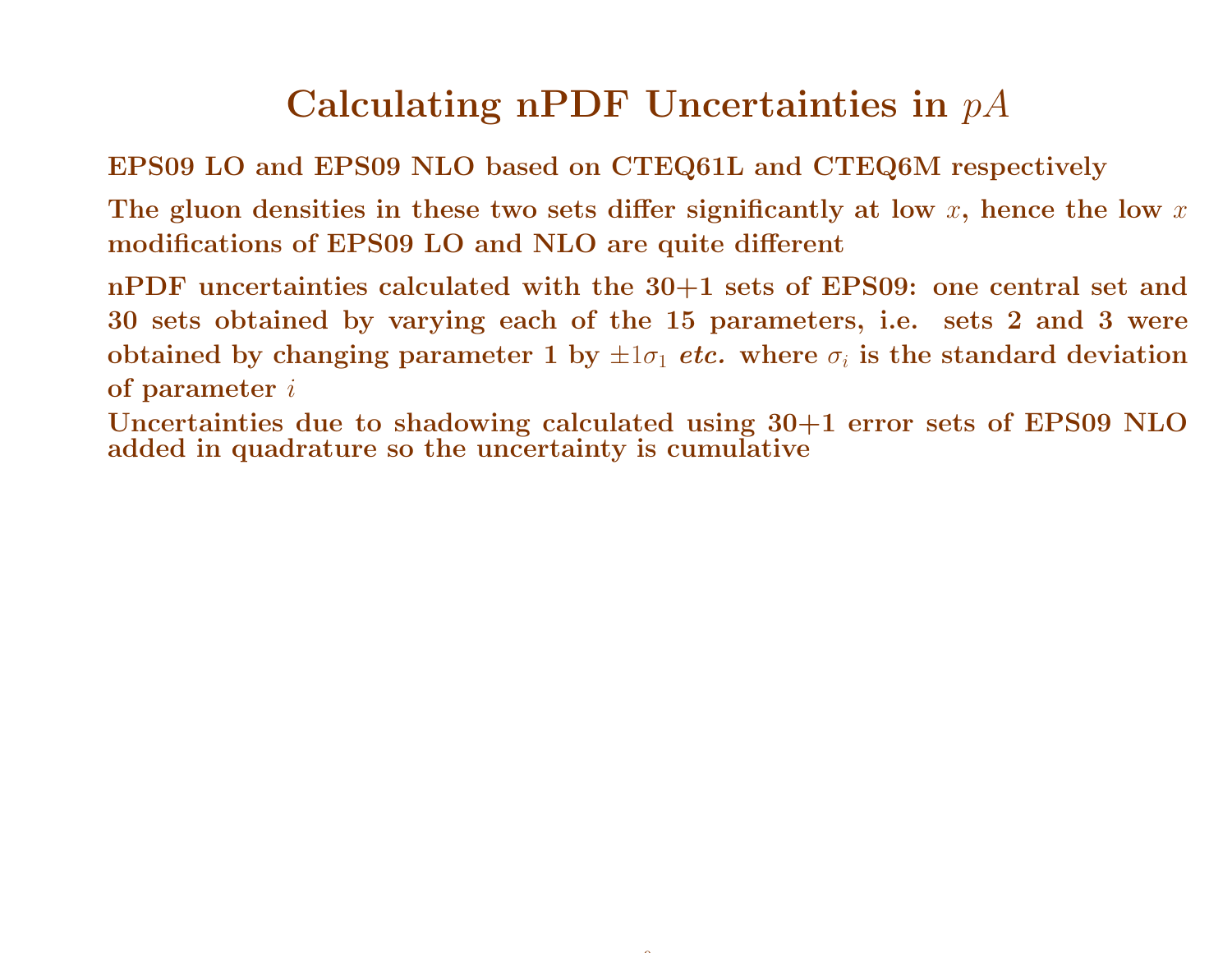## $\bf{Calculating}$  n $\bf{PDF}$   $\bf{Uncertainties}$  in  $pA$

EPS09 LO and EPS09 NLO based on CTEQ61L and CTEQ6M respectively

The gluon densities in these two sets differ significantly at low  $x,$  hence the low  $x$ modifications of EPS09 LO and NLO are quite different

nPDF uncertainties calculated with the 30+1 sets of EPS09: one central set and <sup>30</sup> sets obtained by varying each of the <sup>15</sup> parameters, i.e. sets <sup>2</sup> and <sup>3</sup> wereobtained by changing parameter 1 by  $\pm 1\sigma_1$  *etc.* where  $\sigma_i$  is the standard deviation of parameter <sup>i</sup>

Uncertainties due to shadowing calculated using 30+1 error sets of EPS09 NLOadded in quadrature so the uncertainty is cumulative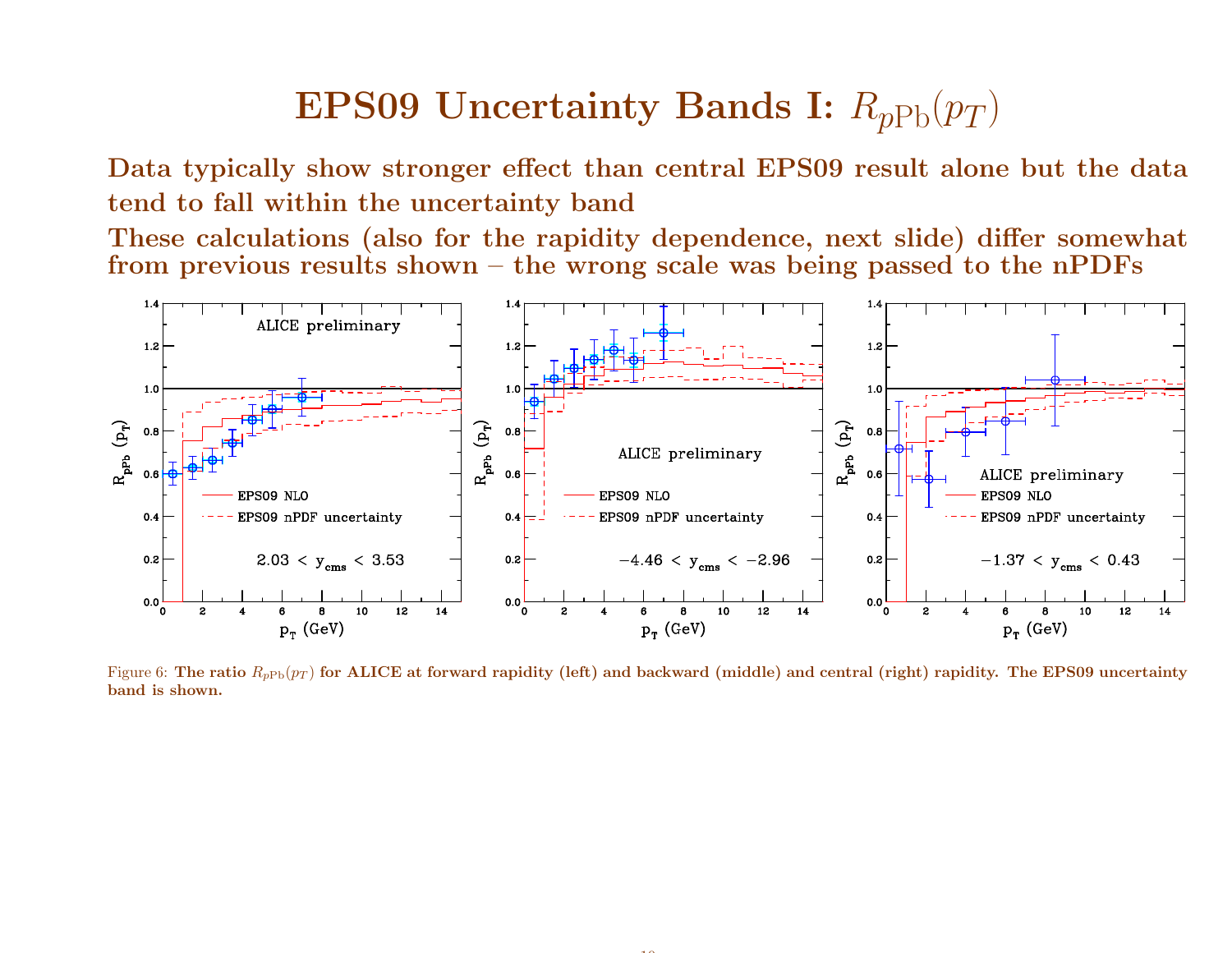### $\textbf{EPS09}$  Uncertainty Bands I:  $R_{p\mathrm{Pb}}(p_T)$

Data typically show stronger effect than central EPS09 result alone but the datatend to fall within the uncertainty band

 These calculations (also for the rapidity dependence, next slide) differ somewhat from previous results shown – the wrong scale was being passed to the nPDFs



Figure 6: The ratio  $R_{p{\rm Pb}}(p_T)$  for ALICE at forward rapidity (left) and backward (middle) and central (right) rapidity. The EPS09 uncertainty band is shown.

. .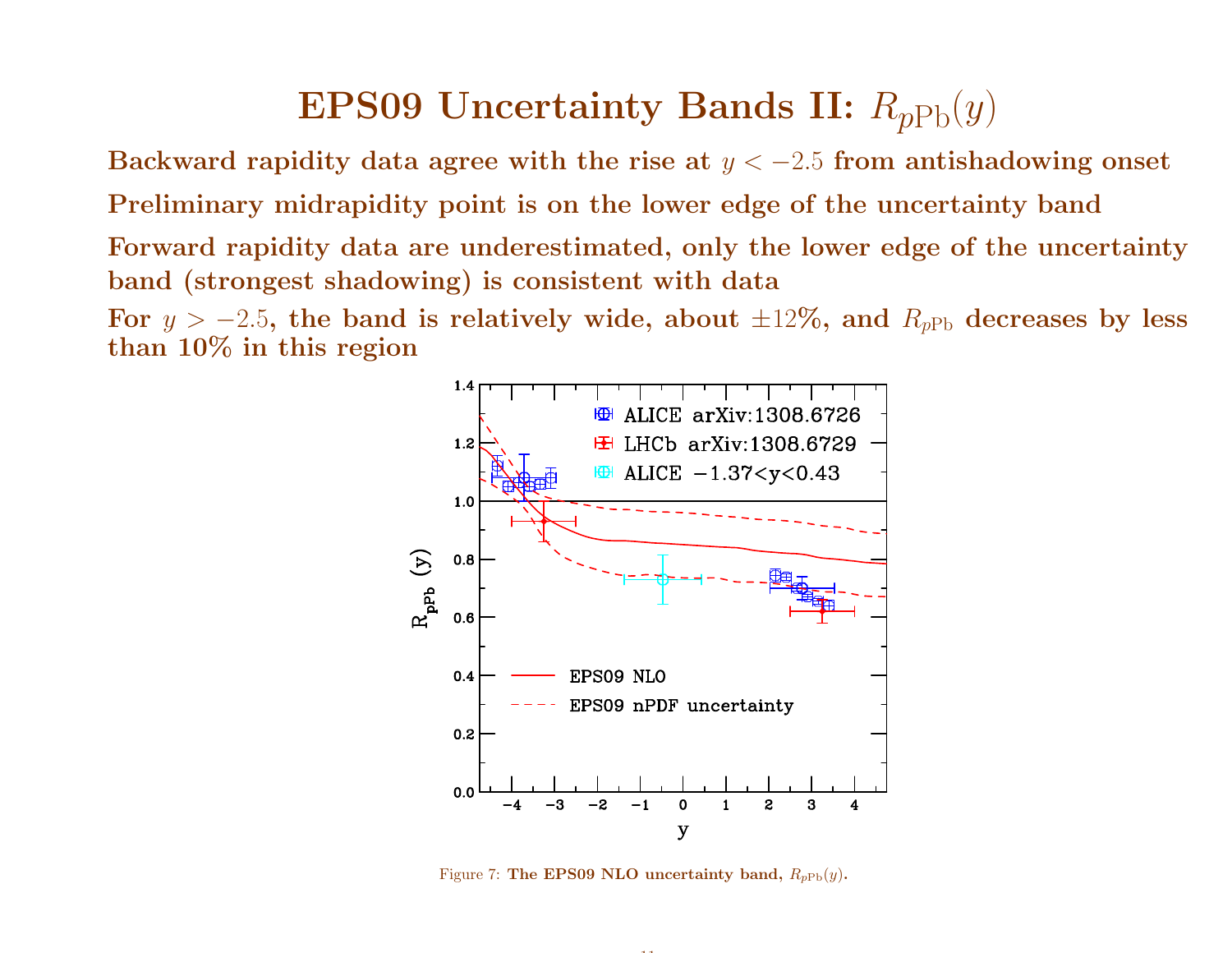### $\bf{EPS09}$  Uncertainty Bands II:  $R_{pPb}(y)$

Backward rapidity data agree with the rise at  $y < -2.5$  from antishadowing onset Preliminary midrapidity point is on the lower edge of the uncertainty bandForward rapidity data are underestimated, only the lower edge of the uncertaintyband (strongest shadowing) is consistent with dataFor  $y > -2.5$ , the band is relatively wide, about  $\pm 12\%$ , and  $R_{pPb}$  decreases by less than 10% in this region



Figure 7: The EPS09 NLO uncertainty band,  $R_{pPb}(y)$ .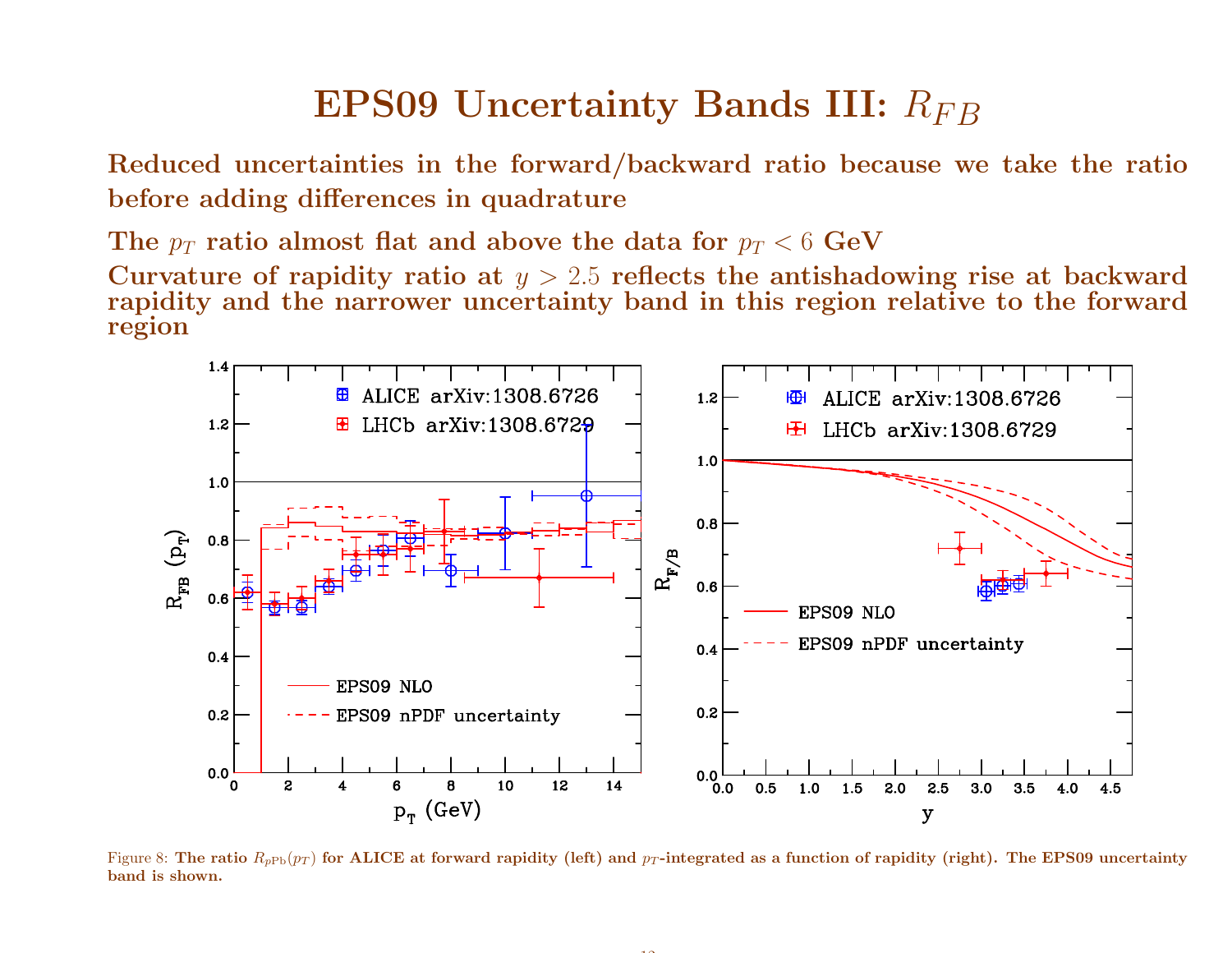## $\textrm{\bf EP}$ S09 Uncertainty Bands III:  $R_{FB}$

Reduced uncertainties in the forward/backward ratio because we take the ratiobefore adding differences in quadrature

The  $p_T$  ratio almost flat and above the data for  $p_T < 6 \,\, \mathrm{GeV}$ 

Curvature of rapidity ratio at  $y > 2.5$  reflects the antisha<br>rapidity and the narrower uncertainty hand in this regio Curvature of rapidity ratio at  $y > 2.5$  reflects the antishadowing rise at backward<br>rapidity and the narrower uncertainty band in this region relative to the forward region



Figure 8: The ratio  $R_{p{\rm Pb}}(p_T)$  for ALICE at forward rapidity (left) and  $p_T$ -integrated as a function of rapidity (right). The EPS09 uncertainty band is shown.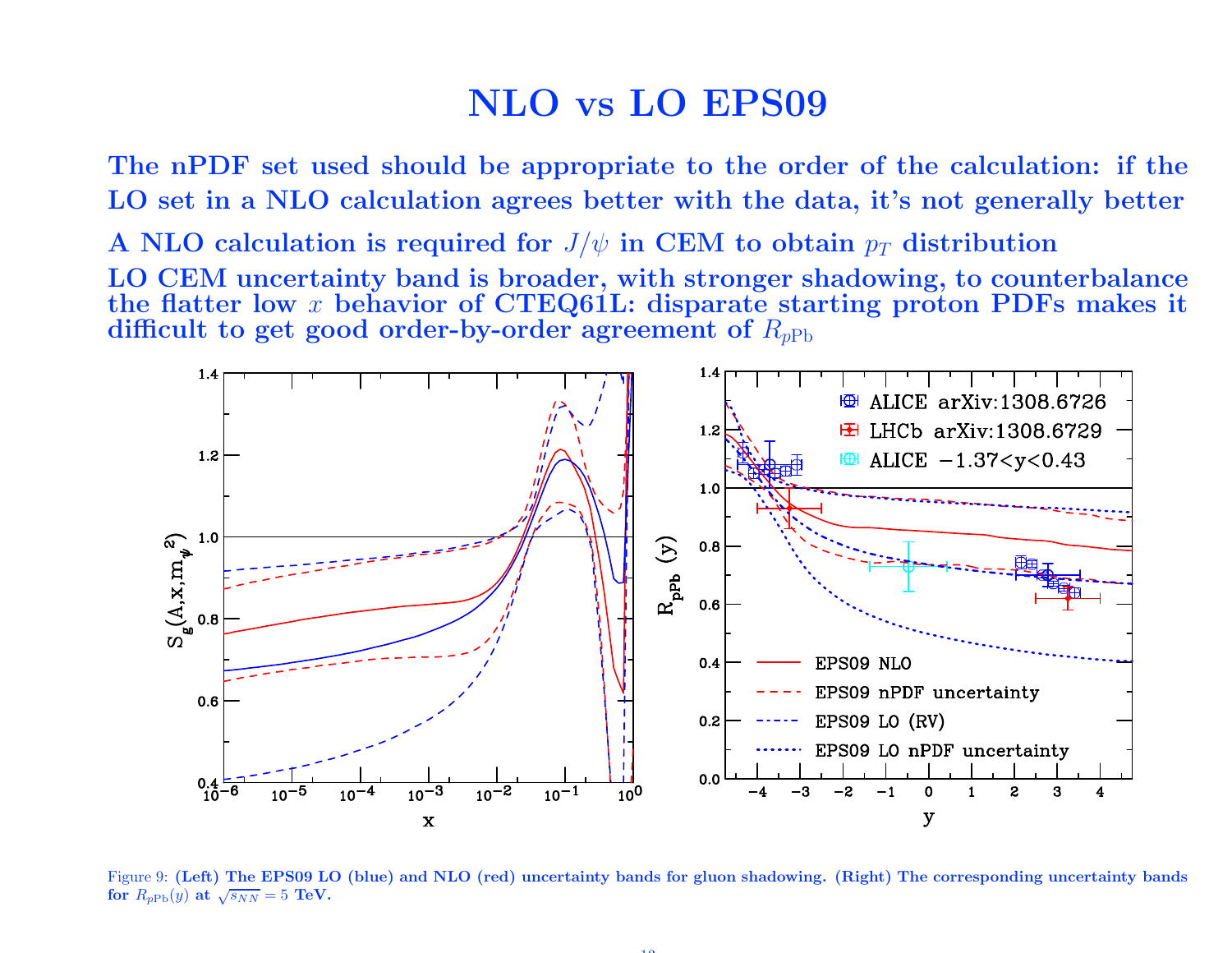#### NLO vs LO EPS09

The nPDF set used should be appropriate to the order of the calculation: if theLO set in <sup>a</sup> NLO calculation agrees better with the data, it's not generally better

A NLO calculation is required for  $J/\psi$  in CEM to obtain  $p_T$  distribution LO CEM uncertainty band is broader, with stronger shadowing, to counterbalancethe flatter low  $x$  behavior of CTEQ61L: disparate starting proton PDFs makes it<br>difficult to get good order-by-order agreement of  $R_{\rm Pl}$ difficult to get good order-by-order agreement of  $R_{pPb}$ 



Figure 9: (Left) The EPS09 LO (blue) and NLO (red) uncertainty bands for <sup>g</sup>luon shadowing. (Right) The corresponding uncertainty bands for  $R_{pPb}(y)$  at  $\sqrt{s_{NN}}=5$  TeV.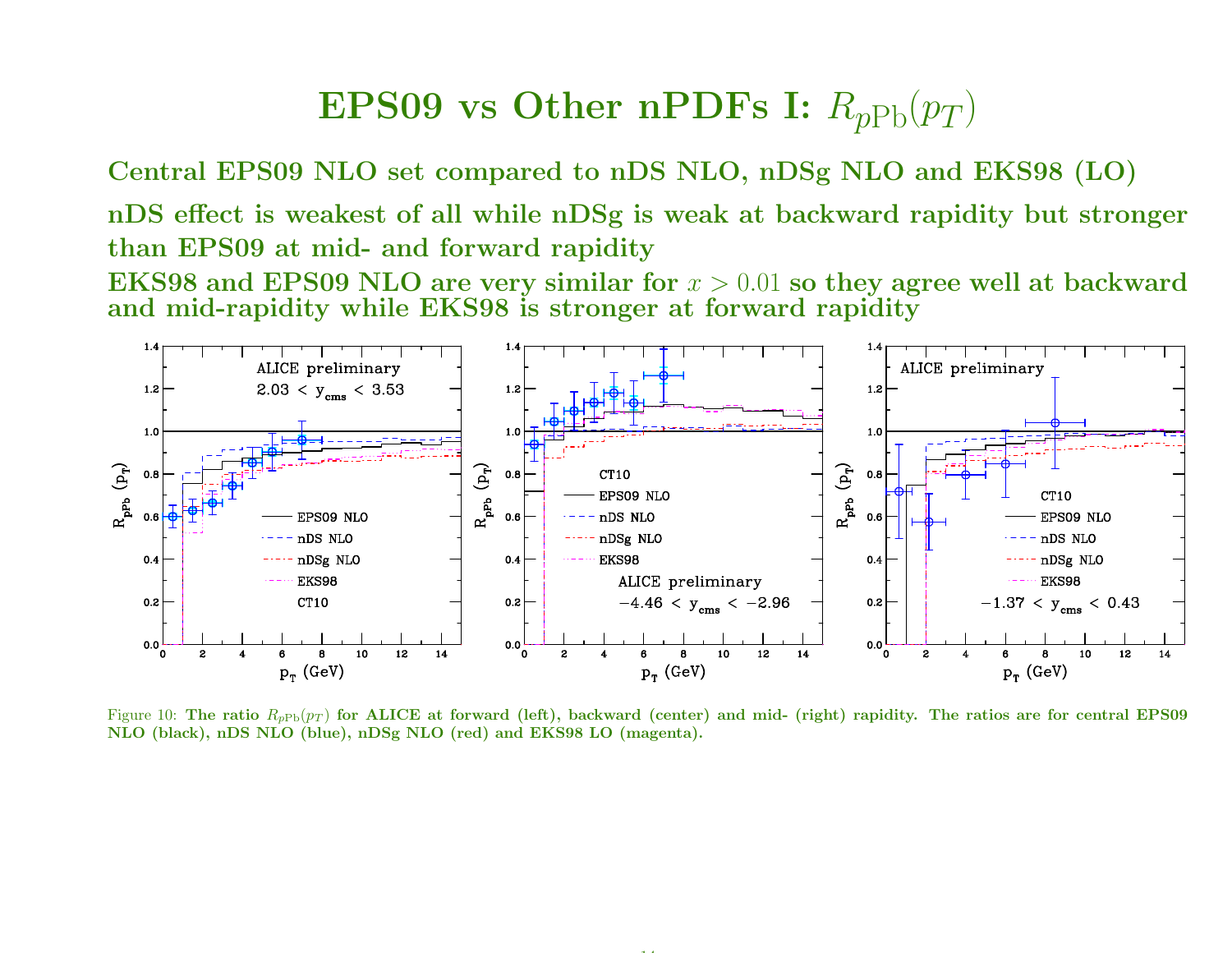### $\bf{EPS09}$  vs  $\bf{Other}$   $\bf{nPDFs}$   $\bf{I:}$   $R_{pPb}(p_T)$

Central EPS09 NLO set compared to nDS NLO, nDSg NLO and EKS98 (LO)

nDS effect is weakest of all while nDSg is weak at backward rapidity but stronger than EPS09 at mid- and forward rapidity

EKS98 and EPS09 NLO are very similar for  $x > 0.01$  so they agree well at backward and  $\text{mid-rapidity}$  while  $\text{EKS98}$  is stronger at forward rapidity



Figure 10: The ratio  $R_{pPb}(p_T)$  for ALICE at forward (left), backward (center) and mid- (right) rapidity. The ratios are for central EPS09 NLO (black), nDS NLO (blue), nDSg NLO (red) and EKS98 LO (magenta).

14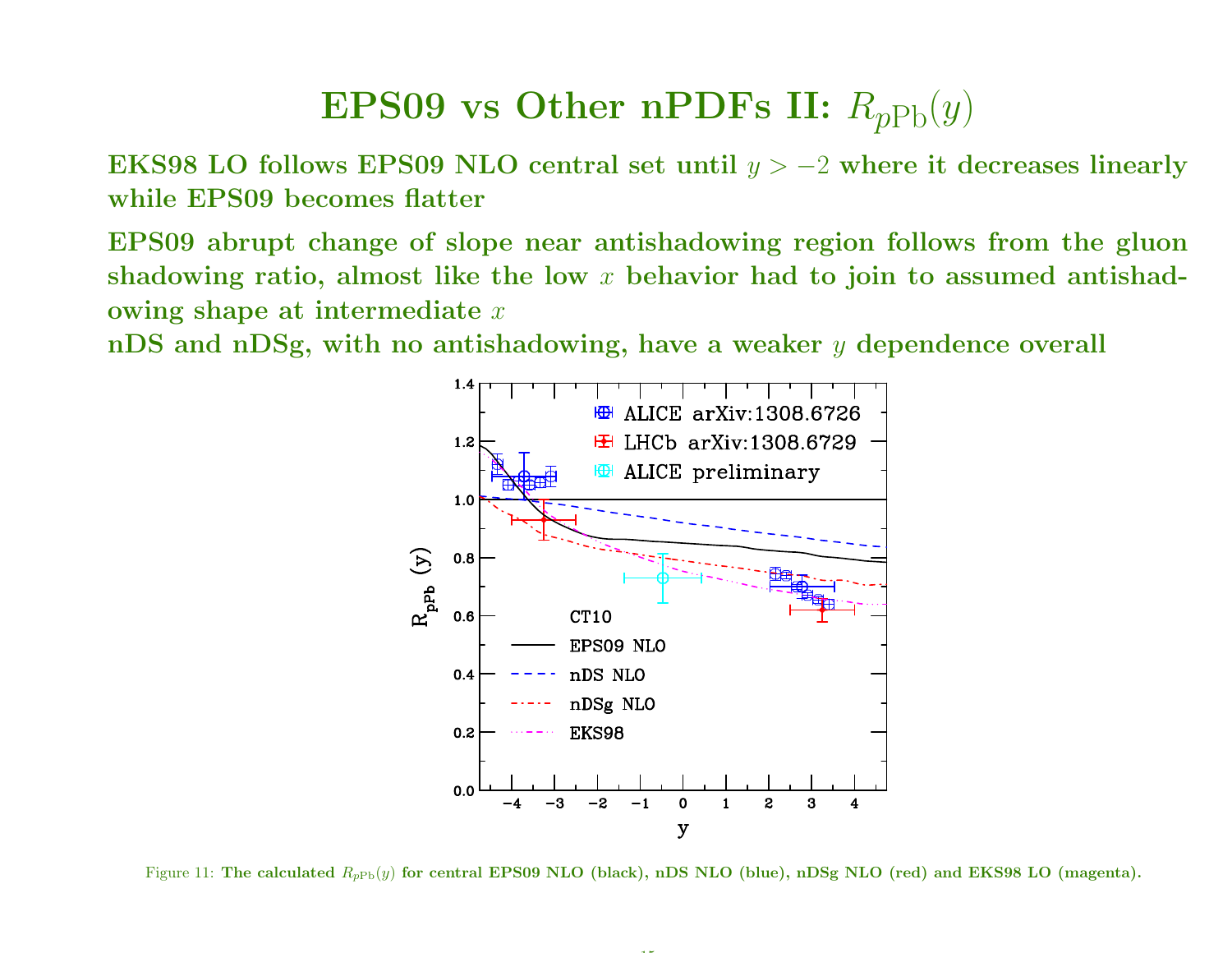### $\bf{EPS09}$  vs  $\bf{Other}$   $\bf{nPDFs}$  II:  $R_{pPb}(y)$

EKS98 LO follows EPS09 NLO central set until  $y > -2$  where it decreases linearly while EPS09 becomes flatter

EPS09 abrupt change of slope near antishadowing region follows from the <sup>g</sup>luonshadowing ratio, almost like the low  $x$  behavior had to join to assumed antishadowing shape at intermediate  $x$ 

 ${\bf nDS}$  and  ${\bf nDSg,~with~no~antishadowing,~have~a~weaker~{\it y~dependence~overall}}$ 



Figure 11: The calculated  $R_{pPb}(y)$  for central EPS09 NLO (black), nDS NLO (blue), nDSg NLO (red) and EKS98 LO (magenta).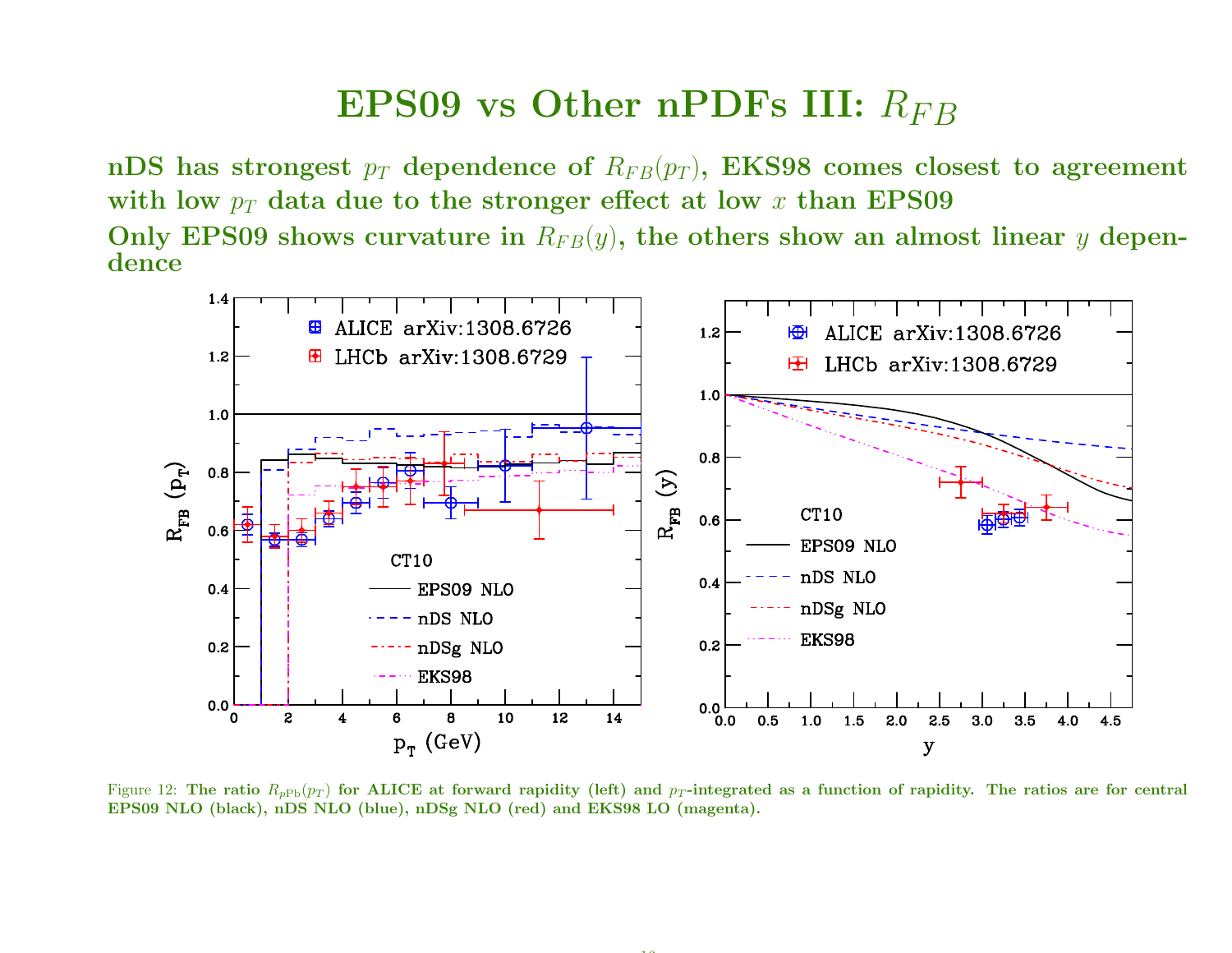### $\textrm{\bf EPS09}$  vs Other n $\textrm{\bf PDFs}$  III:  $R_{FB}$

 ${\rm nDS}$  has strongest  $p_T$  dependence of  $R_{FB}(p_T), \ {\rm EKS98}$  comes closest to agreement with low  $p_T$  data due to the stronger effect at low  $x$  than EPS09 Only EPS09 shows curvature in  $R_{FB}(y)$ , the others show an almost linear  $y$  dependence



Figure 12: The ratio  $R_{pPb}(p_T)$  for ALICE at forward rapidity (left) and  $p_T$ -integrated as a function of rapidity. The ratios are for central EPS09 NLO (black), nDS NLO (blue), nDSg NLO (red) and EKS98 LO (magenta).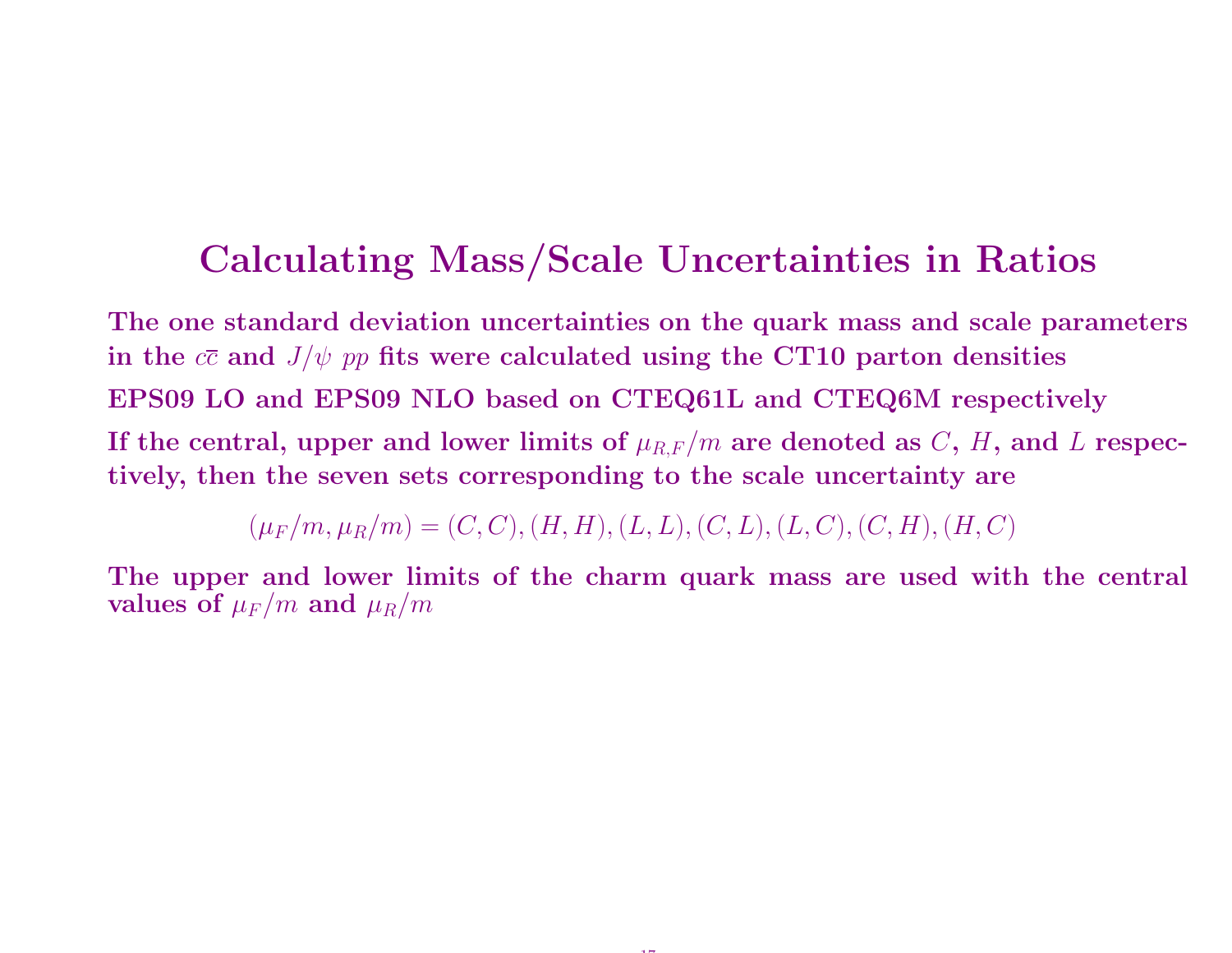#### Calculating Mass/Scale Uncertainties in Ratios

The one standard deviation uncertainties on the quark mass and scale parameters in the  $c\overline{c}$  and  $J/\psi$   $pp$  fits were calculated using the CT10 parton densities EPS09 LO and EPS09 NLO based on CTEQ61L and CTEQ6M respectivelyIf the central, upper and lower limits of  $\mu_{R,F}/m$  are denoted as  $C, H$ , and  $L$  respectively, then the seven sets corresponding to the scale uncertainty are

 $(\mu_F/m, \mu_R/m) = (C, C), (H, H), (L, L), (C, L), (L, C), (C, H), (H, C)$ 

The upper and lower limits of the charm quark mass are used with the central values of  $\mu_F/m$  and  $\mu_R/m$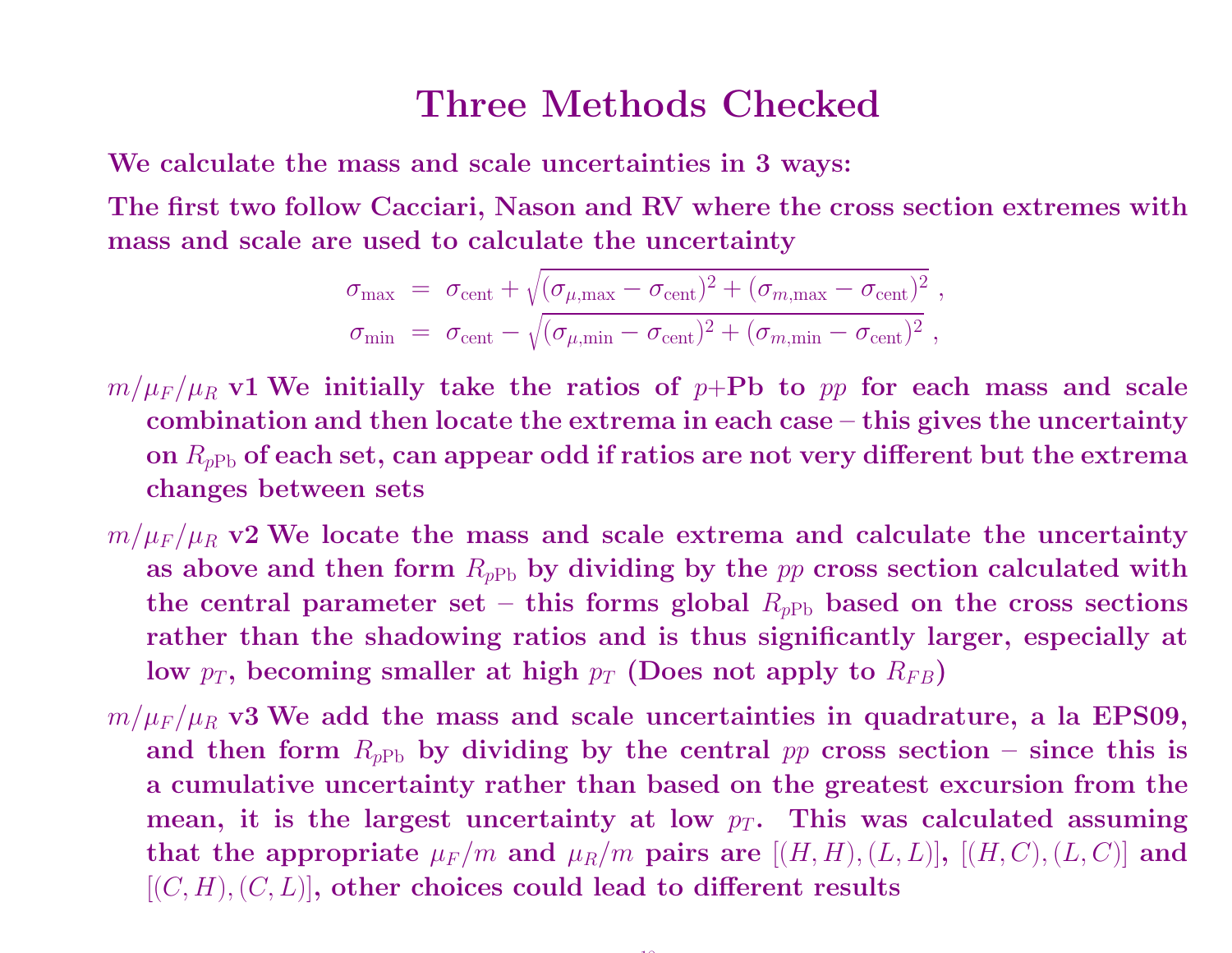#### Three Methods Checked

We calculate the mass and scale uncertainties in 3 ways:

The first two follow Cacciari, Nason and RV where the cross section extremes withmass and scale are used to calculate the uncertainty

$$
\sigma_{\text{max}} = \sigma_{\text{cent}} + \sqrt{(\sigma_{\mu,\text{max}} - \sigma_{\text{cent}})^2 + (\sigma_{m,\text{max}} - \sigma_{\text{cent}})^2},
$$
  

$$
\sigma_{\text{min}} = \sigma_{\text{cent}} - \sqrt{(\sigma_{\mu,\text{min}} - \sigma_{\text{cent}})^2 + (\sigma_{m,\text{min}} - \sigma_{\text{cent}})^2},
$$

- $m/\mu_F/\mu_R$  v1 We initially take the ratios of p+Pb to pp for each mass and scale combination and then locate the extrema in each case – this <sup>g</sup>ives the uncertaintyon  $R_{p{\rm Pb}}$  of each set, can appear odd if ratios are not very different but the extrema changes between sets
- $m/\mu_F/\mu_R$  v2 We locate the mass and scale extrema and calculate the uncertainty as above and then form  $R_{pPb}$  by dividing by the  $pp$  cross section calculated with the central parameter set – this forms global  $R_{p{\rm Pb}}$  based on the cross sections rather than the shadowing ratios and is thus significantly larger, especially at low  $p_T$ , becoming smaller at high  $p_T$  (Does not apply to  $R_{FB})$
- $m/\mu_F/\mu_R$  v3 We add the mass and scale uncertainties in quadrature, a la EPS09, and then form  $R_{pPb}$  by dividing by the central  $pp$  cross section – since this is <sup>a</sup> cumulative uncertainty rather than based on the greatest excursion from themean, it is the largest uncertainty at low  $p_T$ . This was calculated assuming that the appropriate  $\mu_F / m$  and  $\mu_R / m$  pairs are  $[(H, H), (L, L)], [(H, C), (L, C)]$  and  $[(C, H), (C, L)]$ , then then the conditional to different meanths.  $[(C, H), (C, L)],$  other choices could lead to different results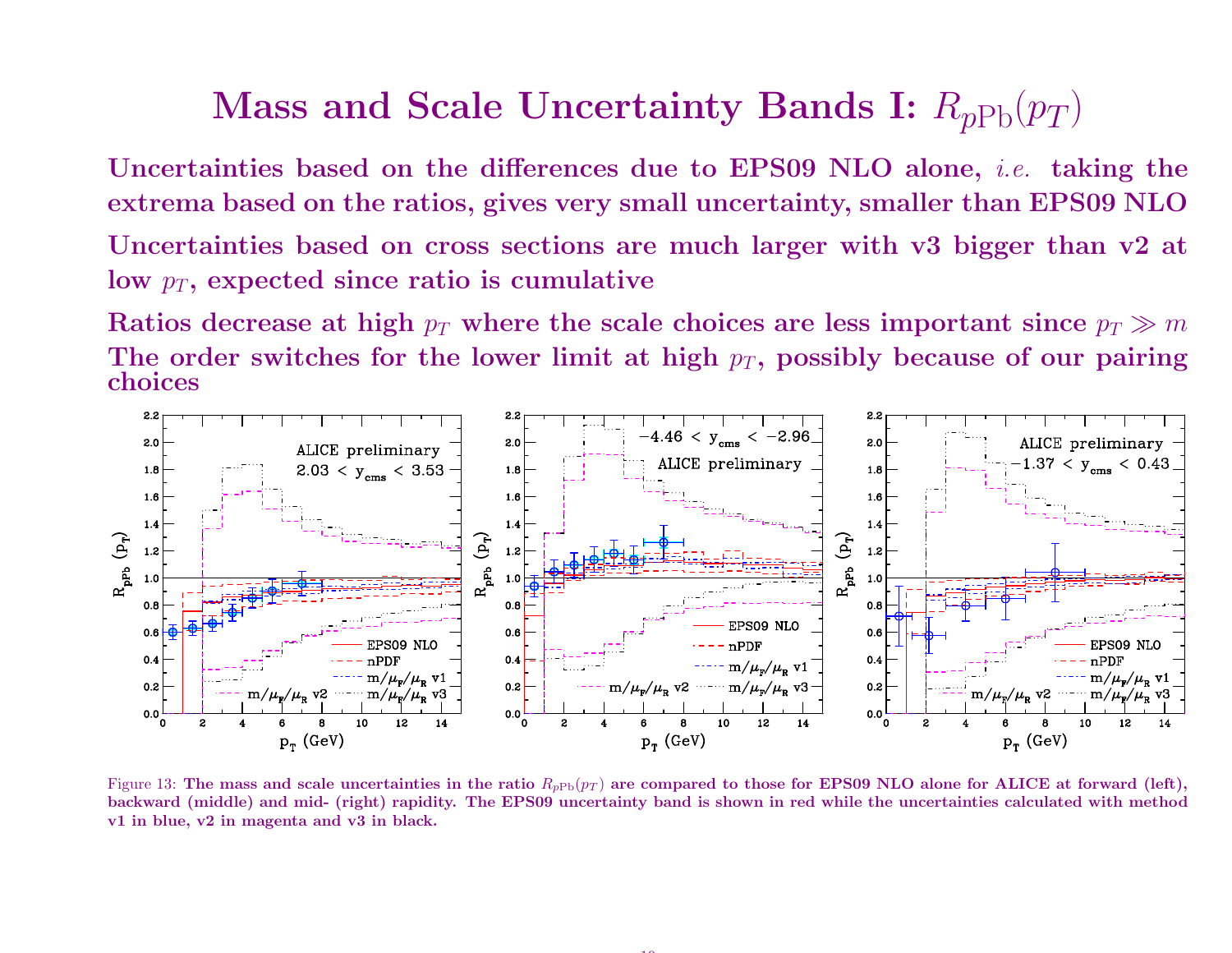### Mass and Scale Uncertainty Bands I:  $R_{p\rm Pb}(p_T)$

Uncertainties based on the differences due to EPS09 NLO alone, i.e. taking theextrema based on the ratios, <sup>g</sup>ives very small uncertainty, smaller than EPS09 NLO

 Uncertainties based on cross sections are much larger with v3 bigger than v2 at low  $p_T,$  expected since ratio is cumulative

Ratios decrease at high  $p_T$  where the scale choices are less important since  $p_T\gg m$ The order switches for the lower limit at high  $p_T$ , possibly because of our pairing choices



Figure 13: The mass and scale uncertainties in the ratio  $R_{pPb}(p_T)$  are compared to those for EPS09 NLO alone for ALICE at forward (left), backward (middle) and mid- (right) rapidity. The EPS09 uncertainty band is shown in red while the uncertainties calculated with methodv1 in blue, v2 in magenta and v3 in black.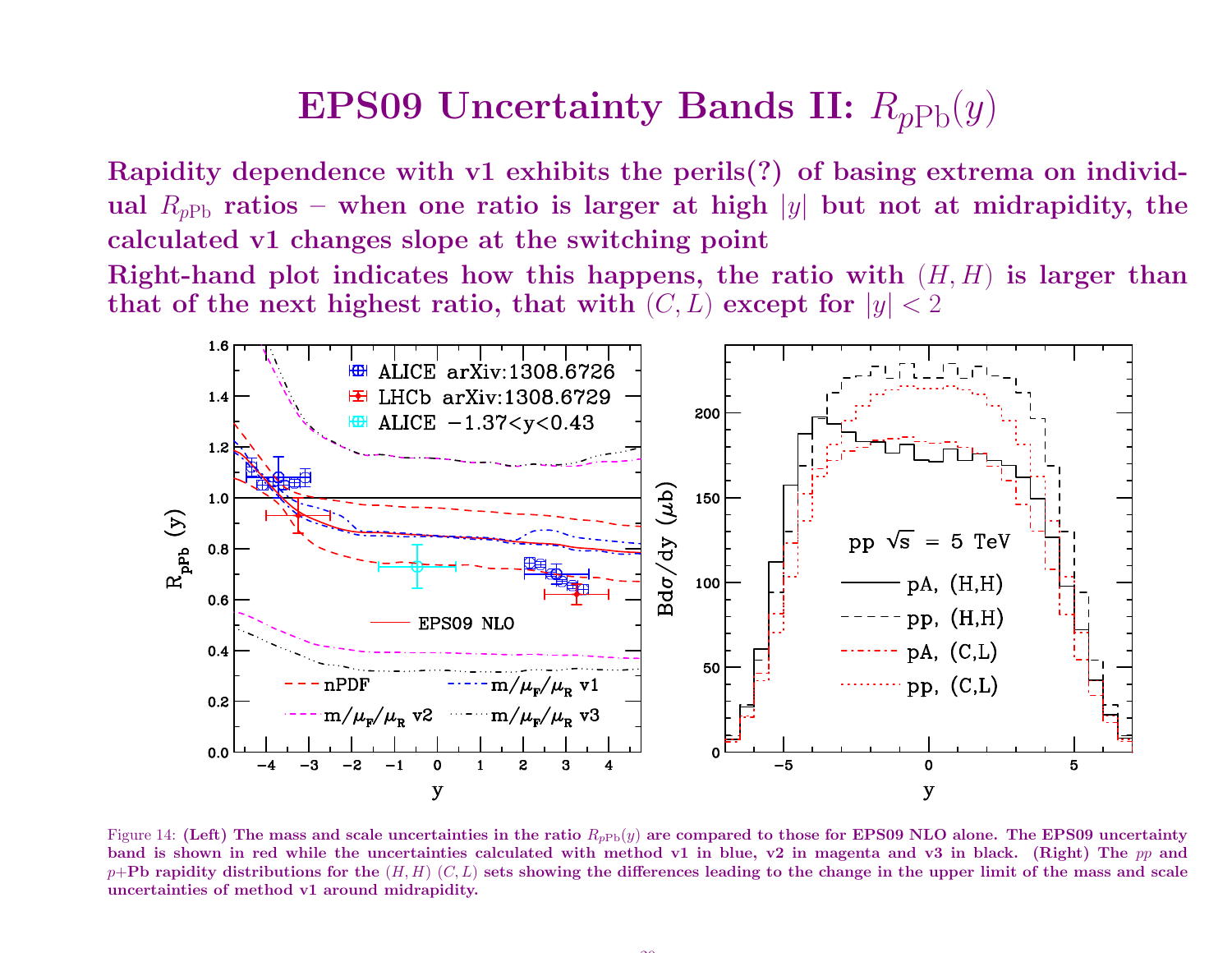### $\bf{EP}S09$   $\bf{Uncertainty}$   $\bf{Bands}$   $\bf{II:}$   $R_{pPb}(y)$

Rapidity dependence with v1 exhibits the perils(?) of basing extrema on individual  $R_{pPb}$  ratios – when one ratio is larger at high  $|y|$  but not at midrapidity, the calculated v1 changes slope at the switching point Right-hand plot indicates how this happens, the ratio with  $(H, H)$  is larger than that of the next highest ratio, that with  $(C, L)$  except for  $|y| < 2$ 



Figure 14: (Left) The mass and scale uncertainties in the ratio  $R_{pPb}(y)$  are compared to those for EPS09 NLO alone. The EPS09 uncertainty band is shown in red while the uncertainties calculated with method v1 in blue, v2 in magenta and v3 in black. (Right) The pp and  $p+{\bf Pb}$  rapidity distributions for the  $(H,H)$   $(C,L)$  sets showing the differences leading to the change in the upper limit of the mass and scale uncertainties of method v1 around midrapidity.

 $\sim$   $\sim$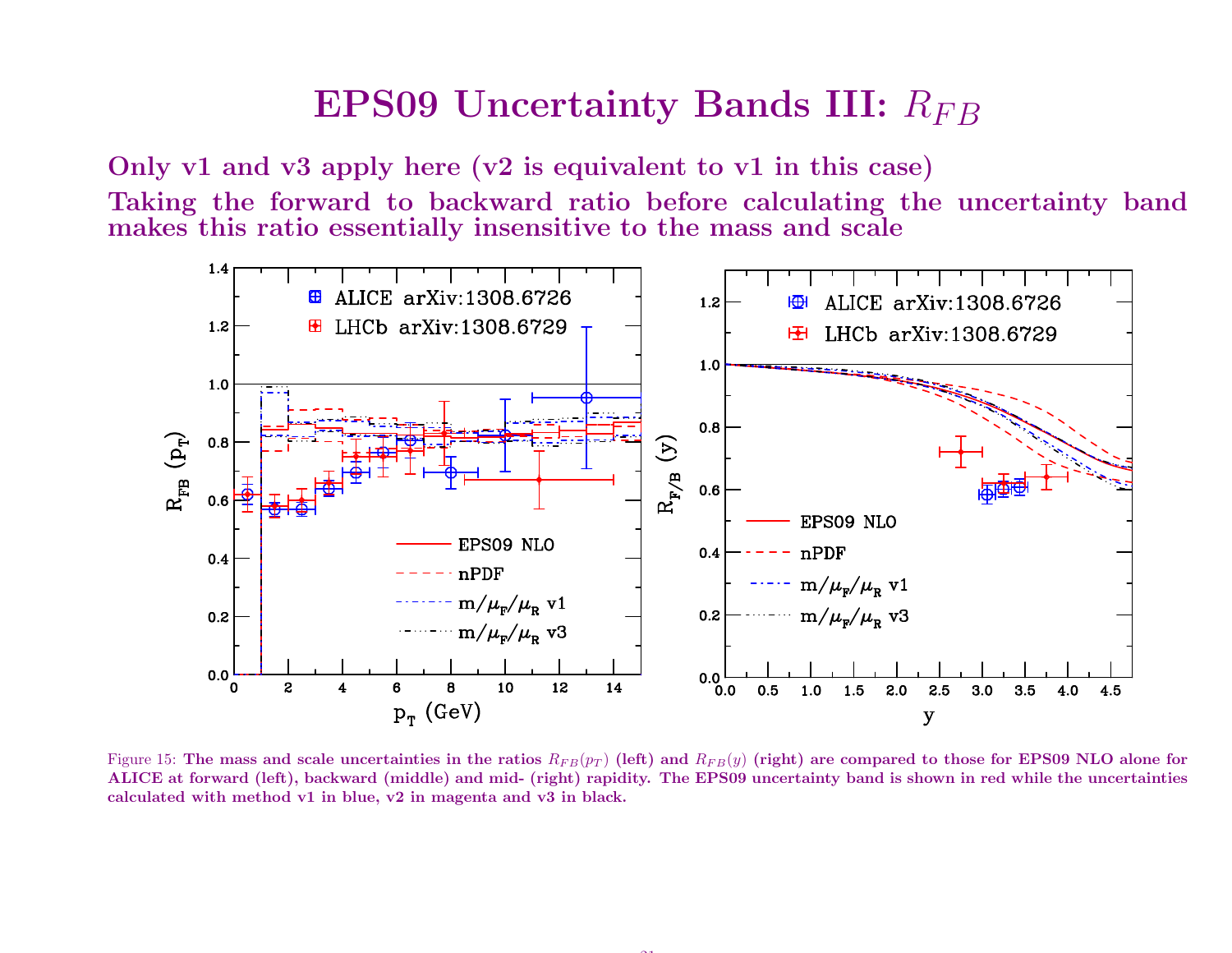## $\textrm{\bf EP}$ S09 Uncertainty Bands III:  $R_{FB}$

Only v1 and v3 apply here (v2 is equivalent to v1 in this case) Taking the forward to backward ratio before calculating the uncertainty bandmakes this ratio essentially insensitive to the mass and scale



Figure 15: The mass and scale uncertainties in the ratios  $R_{FB}(p_T)$  (left) and  $R_{FB}(y)$  (right) are compared to those for EPS09 NLO alone for ALICE at forward (left), backward (middle) and mid- (right) rapidity. The EPS09 uncertainty band is shown in red while the uncertainties calculated with method v1 in blue, v2 in magenta and v3 in black.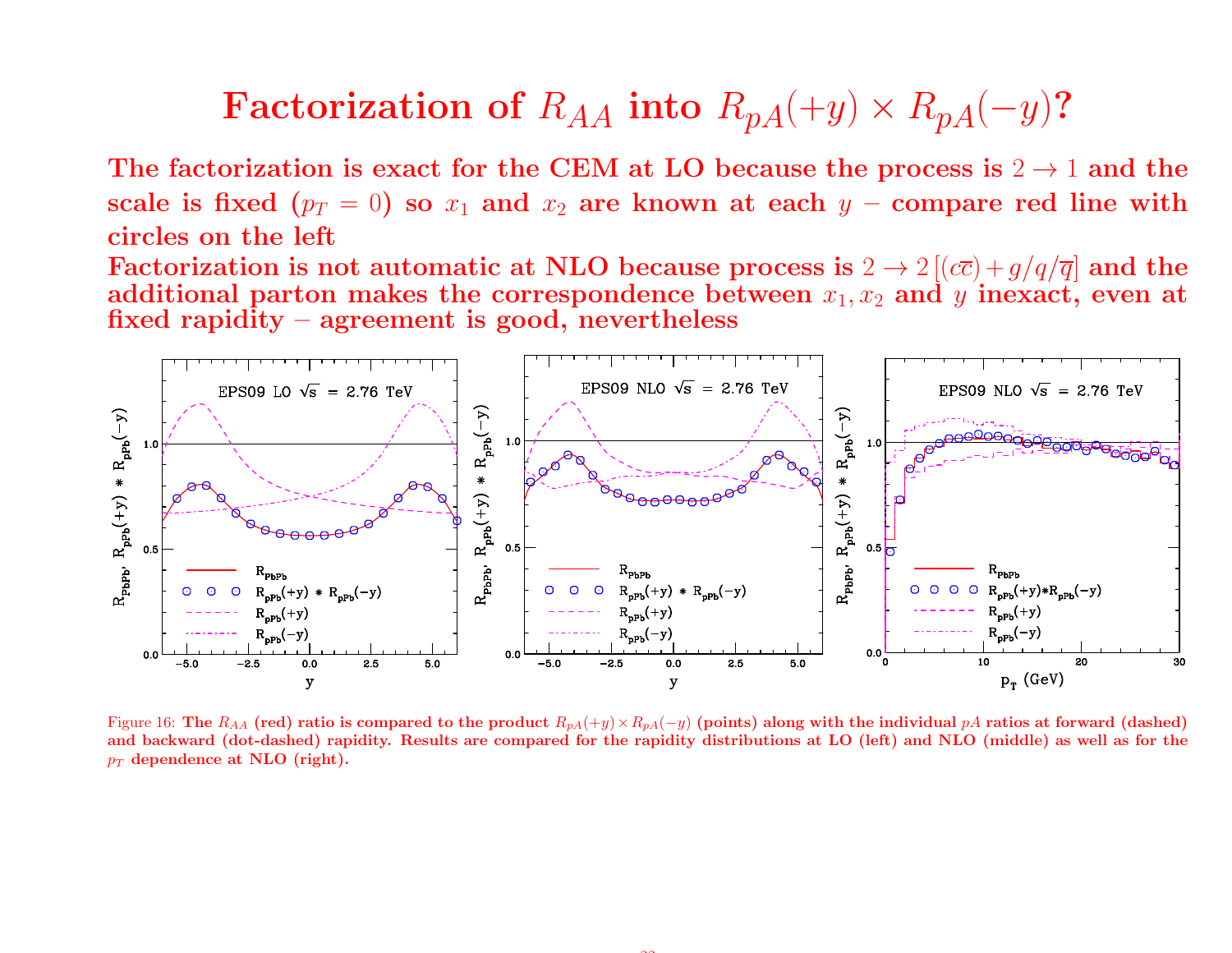## $\bf Factorization\,\, of\,\, R_{AA}\,\, into\,\, R_{pA}(+y) \times R_{pA}(-y)$ ?

The factorization is exact for the CEM at LO because the process is  $2 \rightarrow 1$  and the scale is fixed  $(n_2 = 0)$  so  $x_i$  and  $x_i$  are known at each  $y_i$  – compare red line with scale is fixed  $(p_T = 0)$  so  $x_1$  and  $x_2$  are known at each  $y$  – compare red line with circles on the left

Factorization is not automatic at NLO because process is  $2 \to 2 \left[(c\overline{c})+g/q/\overline{q}\right]$  and the<br>additional parton makes the correspondence between  $x_1, x_2$  and  $y$  inexact, even at additional parton makes the correspondence between  $x_1, x_2$  and  $y$  inexact, even at fixed rapidity – agreement is good, nevertheless



Figure 16: The  $R_{AA}$  (red) ratio is compared to the product  $R_{pA}(+y) \times R_{pA}(-y)$  (points) along with the individual pA ratios at forward (dashed) and backward (dot-dashed) rapidity. Results are compared for the rapidity distributions at LO (left) and NLO (middle) as well as for the $p_T$  dependence at NLO (right).